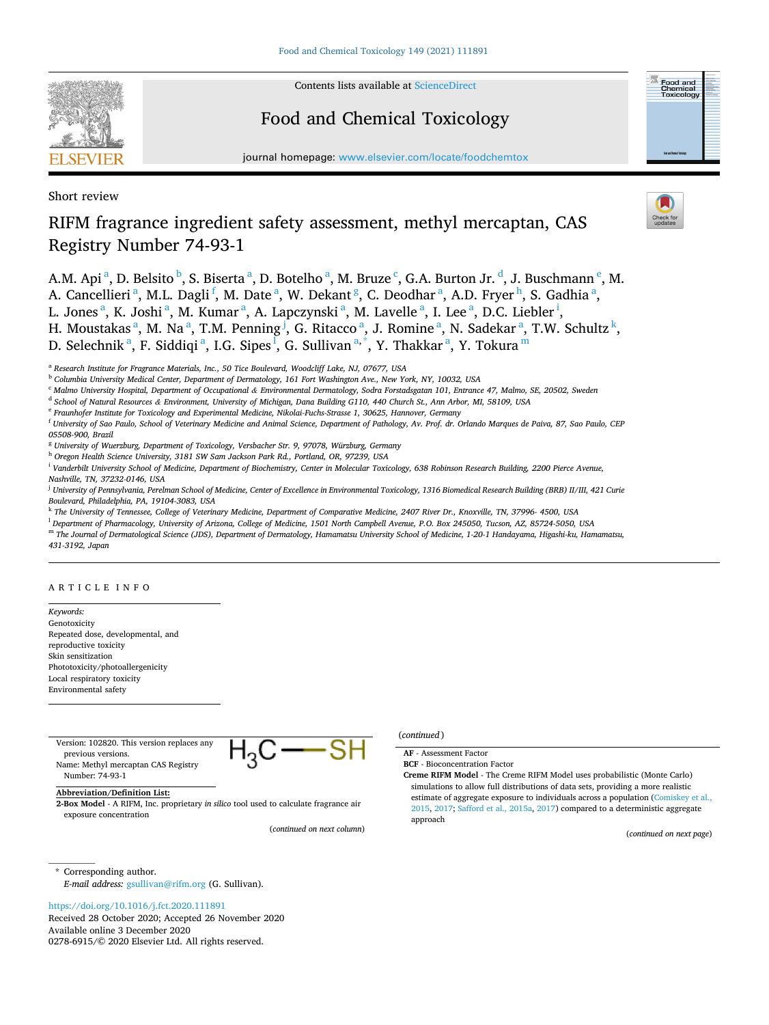

Contents lists available at [ScienceDirect](www.sciencedirect.com/science/journal/02786915)

# Food and Chemical Toxicology

journal homepage: [www.elsevier.com/locate/foodchemtox](https://www.elsevier.com/locate/foodchemtox)

Short review

# RIFM fragrance ingredient safety assessment, methyl mercaptan, CAS Registry Number 74-93-1

A.M. Api <sup>a</sup>, D. Belsito <sup>b</sup>, S. Biserta <sup>a</sup>, D. Botelho <sup>a</sup>, M. Bruze <sup>c</sup>, G.A. Burton Jr. <sup>d</sup>, J. Buschmann <sup>e</sup>, M. A. Cancellieri<sup>a</sup>, M.L. Dagli<sup>f</sup>, M. Date<sup>a</sup>, W. Dekant<sup>g</sup>, C. Deodhar<sup>a</sup>, A.D. Fryer<sup>h</sup>, S. Gadhia<sup>a</sup>, L. Jones<sup>a</sup>, K. Joshi<sup>a</sup>, M. Kumar<sup>a</sup>, A. Lapczynski<sup>a</sup>, M. Lavelle<sup>a</sup>, I. Lee<sup>a</sup>, D.C. Liebler<sup>i</sup>, H. Moustakas<sup>a</sup>, M. Na<sup>a</sup>, T.M. Penning<sup>j</sup>, G. Ritacco<sup>a</sup>, J. Romine<sup>a</sup>, N. Sadekar<sup>a</sup>, T.W. Schultz<sup>k</sup>, D. Selechnik $^{\mathrm{a}},$  F. Siddiqi $^{\mathrm{a}},$  I.G. Sipes $^{\mathrm{I}},$  G. Sullivan $^{\mathrm{a},\ast},$  Y. Thakkar $^{\mathrm{a}},$  Y. Tokura $^{\mathrm{m}}$ 

<sup>c</sup> *Malmo University Hospital, Department of Occupational & Environmental Dermatology, Sodra Forstadsgatan 101, Entrance 47, Malmo, SE, 20502, Sweden* 

<sup>e</sup> *Fraunhofer Institute for Toxicology and Experimental Medicine, Nikolai-Fuchs-Strasse 1, 30625, Hannover, Germany* 

- <sup>g</sup> *University of Wuerzburg, Department of Toxicology, Versbacher Str. 9, 97078, Würzburg, Germany*
- <sup>h</sup> *Oregon Health Science University, 3181 SW Sam Jackson Park Rd., Portland, OR, 97239, USA*

<sup>i</sup> Vanderbilt University School of Medicine, Department of Biochemistry, Center in Molecular Toxicology, 638 Robinson Research Building, 2200 Pierce Avenue, *Nashville, TN, 37232-0146, USA* 

<sup>j</sup> *University of Pennsylvania, Perelman School of Medicine, Center of Excellence in Environmental Toxicology, 1316 Biomedical Research Building (BRB) II/III, 421 Curie Boulevard, Philadelphia, PA, 19104-3083, USA* 

<sup>k</sup> *The University of Tennessee, College of Veterinary Medicine, Department of Comparative Medicine, 2407 River Dr., Knoxville, TN, 37996- 4500, USA* 

<sup>l</sup> *Department of Pharmacology, University of Arizona, College of Medicine, 1501 North Campbell Avenue, P.O. Box 245050, Tucson, AZ, 85724-5050, USA* 

<sup>m</sup> *The Journal of Dermatological Science (JDS), Department of Dermatology, Hamamatsu University School of Medicine, 1-20-1 Handayama, Higashi-ku, Hamamatsu, 431-3192, Japan* 

ARTICLE INFO

*Keywords:*  Genotoxicity Repeated dose, developmental, and reproductive toxicity Skin sensitization Phototoxicity/photoallergenicity Local respiratory toxicity Environmental safety

| Version: 102820. This version replaces any |  |
|--------------------------------------------|--|
| previous versions.                         |  |
| Name: Methyl mercaptan CAS Registry        |  |
| Number: 74-93-1                            |  |

**Abbreviation/Definition List:** 

**2-Box Model** - A RIFM, Inc. proprietary *in silico* tool used to calculate fragrance air exposure concentration

(*continued on next column*)

# (*continued* )

**AF** - Assessment Factor **BCF** - Bioconcentration Factor

**Creme RIFM Model** - The Creme RIFM Model uses probabilistic (Monte Carlo) simulations to allow full distributions of data sets, providing a more realistic estimate of aggregate exposure to individuals across a population ([Comiskey et al.,](#page-9-0)  [2015,](#page-9-0) [2017;](#page-9-0) [Safford et al., 2015a](#page-9-0), [2017](#page-9-0)) compared to a deterministic aggregate approach

(*continued on next page*)

\* Corresponding author. *E-mail address:* [gsullivan@rifm.org](mailto:gsullivan@rifm.org) (G. Sullivan).

# <https://doi.org/10.1016/j.fct.2020.111891>

Available online 3 December 2020 0278-6915/© 2020 Elsevier Ltd. All rights reserved. Received 28 October 2020; Accepted 26 November 2020



Food and<br>Chemical<br>Toxicolog

<sup>a</sup> *Research Institute for Fragrance Materials, Inc., 50 Tice Boulevard, Woodcliff Lake, NJ, 07677, USA* 

<sup>b</sup> *Columbia University Medical Center, Department of Dermatology, 161 Fort Washington Ave., New York, NY, 10032, USA* 

<sup>d</sup> *School of Natural Resources & Environment, University of Michigan, Dana Building G110, 440 Church St., Ann Arbor, MI, 58109, USA* 

<sup>f</sup> *University of Sao Paulo, School of Veterinary Medicine and Animal Science, Department of Pathology, Av. Prof. dr. Orlando Marques de Paiva, 87, Sao Paulo, CEP 05508-900, Brazil*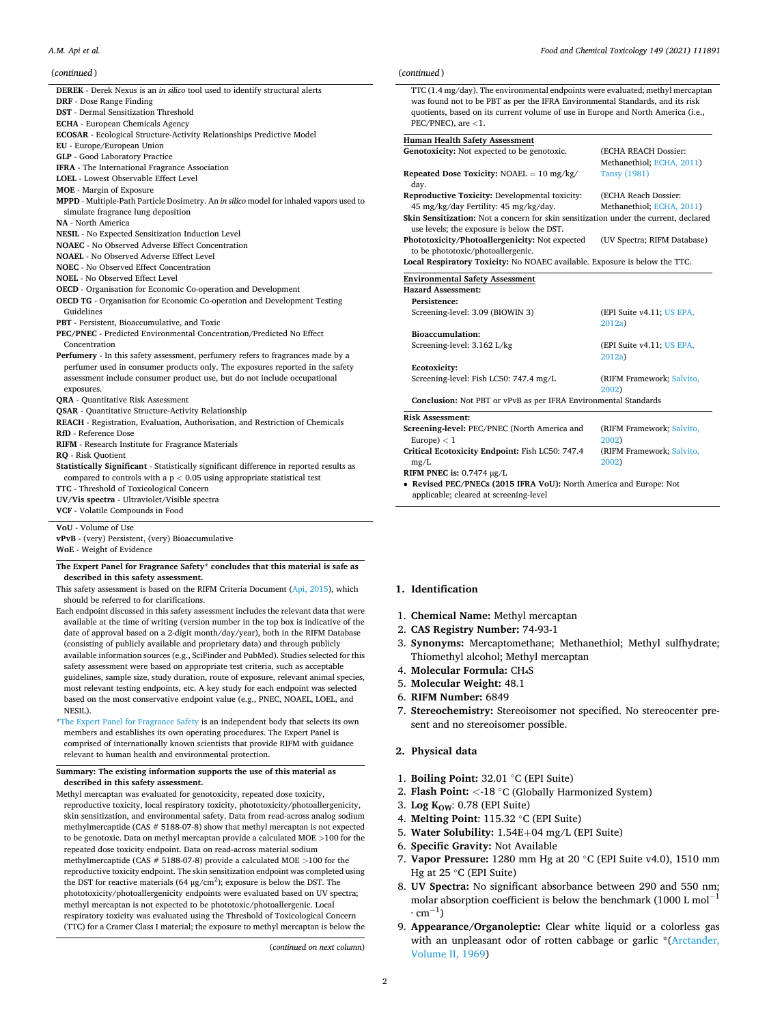# *A.M. Api et al.*

# (*continued* )

| continueu j                                                                             | <i>L</i> unu |
|-----------------------------------------------------------------------------------------|--------------|
| DEREK - Derek Nexus is an in silico tool used to identify structural alerts             | TT           |
| DRF - Dose Range Finding                                                                | wa           |
| <b>DST</b> - Dermal Sensitization Threshold                                             | qu           |
| <b>ECHA</b> - European Chemicals Agency                                                 | PE           |
| ECOSAR - Ecological Structure-Activity Relationships Predictive Model                   |              |
| EU - Europe/European Union                                                              | Hum          |
| <b>GLP</b> - Good Laboratory Practice                                                   | Genc         |
| IFRA - The International Fragrance Association                                          |              |
| <b>LOEL</b> - Lowest Observable Effect Level                                            | Repe         |
| <b>MOE</b> - Margin of Exposure                                                         | da           |
| MPPD - Multiple-Path Particle Dosimetry. An in silico model for inhaled vapors used to  | Repr<br>45   |
| simulate fragrance lung deposition                                                      | Skin         |
| <b>NA</b> - North America                                                               |              |
| <b>NESIL</b> - No Expected Sensitization Induction Level                                | use          |
| <b>NOAEC</b> - No Observed Adverse Effect Concentration                                 | Phot         |
| <b>NOAEL</b> - No Observed Adverse Effect Level                                         | to i<br>Loca |
| <b>NOEC</b> - No Observed Effect Concentration                                          |              |
| <b>NOEL</b> - No Observed Effect Level                                                  | Envi         |
| <b>OECD</b> - Organisation for Economic Co-operation and Development                    | Haza         |
| <b>OECD TG</b> - Organisation for Economic Co-operation and Development Testing         | Pe           |
| Guidelines                                                                              | Sci          |
| PBT - Persistent, Bioaccumulative, and Toxic                                            |              |
| <b>PEC/PNEC</b> - Predicted Environmental Concentration/Predicted No Effect             | Bio          |
| Concentration                                                                           | Sci          |
| Perfumery - In this safety assessment, perfumery refers to fragrances made by a         |              |
| perfumer used in consumer products only. The exposures reported in the safety           | Ec           |
| assessment include consumer product use, but do not include occupational<br>exposures.  | Scı          |
| <b>QRA</b> - Quantitative Risk Assessment                                               | Co           |
| <b>QSAR</b> - Quantitative Structure-Activity Relationship                              |              |
| REACH - Registration, Evaluation, Authorisation, and Restriction of Chemicals           | Risk         |
| RfD - Reference Dose                                                                    | Scree        |
| <b>RIFM</b> - Research Institute for Fragrance Materials                                | Eu           |
| <b>RO</b> - Risk Quotient                                                               | Criti        |
| Statistically Significant - Statistically significant difference in reported results as | mg           |
| compared to controls with a $p < 0.05$ using appropriate statistical test               | <b>RIFN</b>  |
| TTC - Threshold of Toxicological Concern                                                | $\bullet$ Re |
| UV/Vis spectra - Ultraviolet/Visible spectra                                            | ap           |
| VCF - Volatile Compounds in Food                                                        |              |
|                                                                                         |              |

**VoU** - Volume of Use

**vPvB** - (very) Persistent, (very) Bioaccumulative

**WoE** - Weight of Evidence

**The Expert Panel for Fragrance Safety\* concludes that this material is safe as described in this safety assessment.** 

This safety assessment is based on the RIFM Criteria Document [\(Api, 2015](#page-8-0)), which should be referred to for clarifications.

- Each endpoint discussed in this safety assessment includes the relevant data that were available at the time of writing (version number in the top box is indicative of the date of approval based on a 2-digit month/day/year), both in the RIFM Database (consisting of publicly available and proprietary data) and through publicly available information sources (e.g., SciFinder and PubMed). Studies selected for this safety assessment were based on appropriate test criteria, such as acceptable guidelines, sample size, study duration, route of exposure, relevant animal species, most relevant testing endpoints, etc. A key study for each endpoint was selected based on the most conservative endpoint value (e.g., PNEC, NOAEL, LOEL, and NESIL).
- \*[The Expert Panel for Fragrance Safety](http://fragrancesafetypanel.org/) is an independent body that selects its own members and establishes its own operating procedures. The Expert Panel is comprised of internationally known scientists that provide RIFM with guidance relevant to human health and environmental protection.

#### **Summary: The existing information supports the use of this material as described in this safety assessment.**

Methyl mercaptan was evaluated for genotoxicity, repeated dose toxicity, reproductive toxicity, local respiratory toxicity, phototoxicity/photoallergenicity, skin sensitization, and environmental safety. Data from read-across analog sodium methylmercaptide (CAS # 5188-07-8) show that methyl mercaptan is not expected to be genotoxic. Data on methyl mercaptan provide a calculated MOE *>*100 for the repeated dose toxicity endpoint. Data on read-across material sodium methylmercaptide (CAS # 5188-07-8) provide a calculated MOE *>*100 for the reproductive toxicity endpoint. The skin sensitization endpoint was completed using the DST for reactive materials (64  $\mu$ g/cm<sup>2</sup>); exposure is below the DST. The phototoxicity/photoallergenicity endpoints were evaluated based on UV spectra; methyl mercaptan is not expected to be phototoxic/photoallergenic. Local respiratory toxicity was evaluated using the Threshold of Toxicological Concern (TTC) for a Cramer Class I material; the exposure to methyl mercaptan is below the

(*continued on next column*)

# (*continued* )

 $T(T(T, 4)$  mg/day). The environmental endpoints were evaluated; methyl mercaptan as found not to be PBT as per the IFRA Environmental Standards, and its risk otients, based on its current volume of use in Europe and North America (i.e., PEC/PNEC), are *<*1.

# **Human Health Safety Assessment**

| Genotoxicity: Not expected to be genotoxic.                                          | (ECHA REACH Dossier:                |
|--------------------------------------------------------------------------------------|-------------------------------------|
|                                                                                      | Methanethiol; ECHA, 2011)           |
| Repeated Dose Toxicity: $NOAEL = 10 mg/kg/$<br>day.                                  | <b>Tansy (1981)</b>                 |
| Reproductive Toxicity: Developmental toxicity:                                       | (ECHA Reach Dossier:                |
| 45 mg/kg/day Fertility: 45 mg/kg/day.                                                | Methanethiol; ECHA, 2011)           |
| Skin Sensitization: Not a concern for skin sensitization under the current, declared |                                     |
| use levels; the exposure is below the DST.                                           |                                     |
| Phototoxicity/Photoallergenicity: Not expected                                       | (UV Spectra; RIFM Database)         |
| to be phototoxic/photoallergenic.                                                    |                                     |
| Local Respiratory Toxicity: No NOAEC available. Exposure is below the TTC.           |                                     |
| <b>Environmental Safety Assessment</b>                                               |                                     |
| <b>Hazard Assessment:</b>                                                            |                                     |
| Persistence:                                                                         |                                     |
| Screening-level: 3.09 (BIOWIN 3)                                                     | (EPI Suite v4.11; US EPA,<br>2012a  |
| Bioaccumulation:                                                                     |                                     |
| Screening-level: 3.162 L/kg                                                          | (EPI Suite v4.11; US EPA,<br>2012a) |
| Ecotoxicity:                                                                         |                                     |
| Screening-level: Fish LC50: 747.4 mg/L                                               | (RIFM Framework; Salvito,           |
|                                                                                      | 2002)                               |
| Conclusion: Not PBT or vPvB as per IFRA Environmental Standards                      |                                     |
| <b>Risk Assessment:</b>                                                              |                                     |
| Screening-level: PEC/PNEC (North America and                                         | (RIFM Framework; Salvito,           |
| Europe $) < 1$                                                                       | 2002)                               |
| Critical Ecotoxicity Endpoint: Fish LC50: 747.4                                      | (RIFM Framework; Salvito,           |
| mg/L                                                                                 | 2002)                               |
| RIFM PNEC is: $0.7474 \mu g/L$                                                       |                                     |
| • Revised PEC/PNECs (2015 IFRA VoU): North America and Europe: Not                   |                                     |
| applicable; cleared at screening-level                                               |                                     |

# **1. Identification**

- 1. **Chemical Name:** Methyl mercaptan
- 2. **CAS Registry Number:** 74-93-1
- 3. **Synonyms:** Mercaptomethane; Methanethiol; Methyl sulfhydrate; Thiomethyl alcohol; Methyl mercaptan
- 4. Molecular Formula: CH<sub>4</sub>S
- 5. **Molecular Weight:** 48.1
- 6. **RIFM Number:** 6849
- 7. **Stereochemistry:** Stereoisomer not specified. No stereocenter present and no stereoisomer possible.
- **2. Physical data**
- 1. **Boiling Point:** 32.01 ◦C (EPI Suite)
- 2. **Flash Point:** *<*-18 ◦C (Globally Harmonized System)
- 3. **Log KOW**: 0.78 (EPI Suite)
- 4. **Melting Point**: 115.32 ◦C (EPI Suite)
- 5. **Water Solubility:** 1.54E+04 mg/L (EPI Suite)
- 6. **Specific Gravity:** Not Available
- 7. **Vapor Pressure:** 1280 mm Hg at 20 ◦C (EPI Suite v4.0), 1510 mm Hg at 25 ◦C (EPI Suite)
- 8. **UV Spectra:** No significant absorbance between 290 and 550 nm; molar absorption coefficient is below the benchmark (1000 L mol<sup>-1</sup>  $\cdot$  cm<sup>-1</sup>)
- 9. **Appearance/Organoleptic:** Clear white liquid or a colorless gas with an unpleasant odor of rotten cabbage or garlic \*(Arctander, [Volume II, 1969\)](#page-8-0)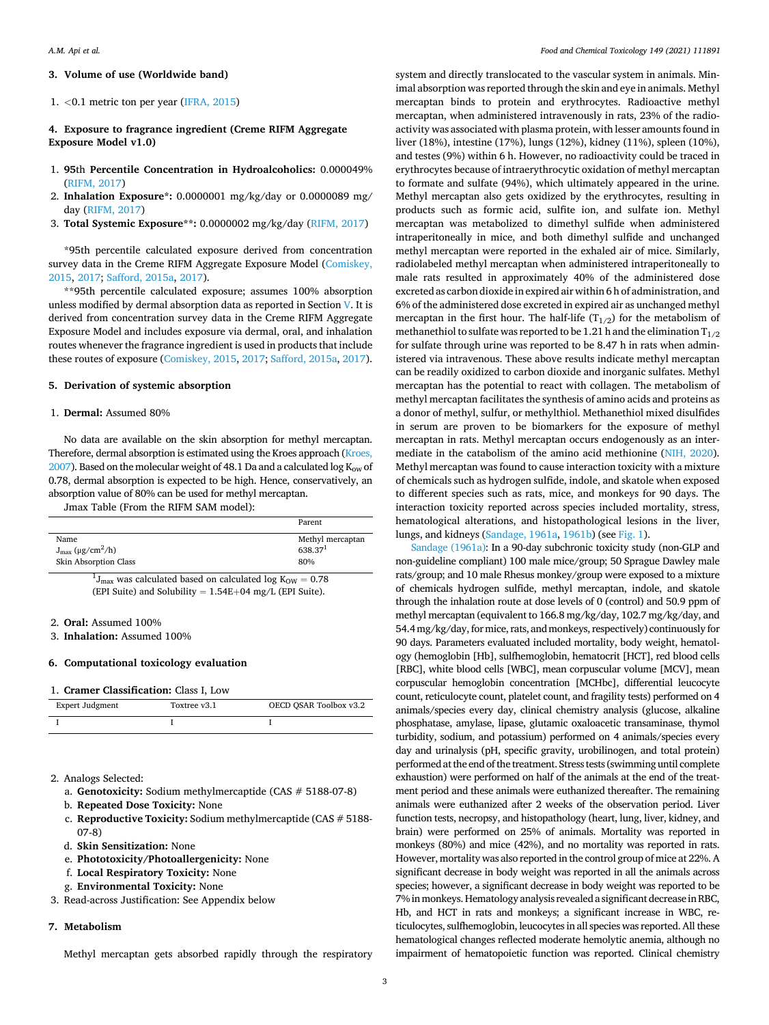# <span id="page-2-0"></span>**3. Volume of use (Worldwide band)**

# 1. *<*0.1 metric ton per year ([IFRA, 2015\)](#page-9-0)

**4. Exposure to fragrance ingredient (Creme RIFM Aggregate Exposure Model v1.0)** 

- 1. **95**th **Percentile Concentration in Hydroalcoholics:** 0.000049% [\(RIFM, 2017](#page-9-0))
- 2. **Inhalation Exposure\*:** 0.0000001 mg/kg/day or 0.0000089 mg/ day ([RIFM, 2017](#page-9-0))
- 3. **Total Systemic Exposure\*\*:** 0.0000002 mg/kg/day ([RIFM, 2017](#page-9-0))

\*95th percentile calculated exposure derived from concentration survey data in the Creme RIFM Aggregate Exposure Model [\(Comiskey,](#page-9-0)  [2015, 2017](#page-9-0); [Safford, 2015a, 2017](#page-9-0)).

\*\*95th percentile calculated exposure; assumes 100% absorption unless modified by dermal absorption data as reported in Section V. It is derived from concentration survey data in the Creme RIFM Aggregate Exposure Model and includes exposure via dermal, oral, and inhalation routes whenever the fragrance ingredient is used in products that include these routes of exposure [\(Comiskey, 2015](#page-9-0), [2017](#page-9-0); [Safford, 2015a](#page-9-0), [2017](#page-9-0)).

# **5. Derivation of systemic absorption**

# 1. **Dermal:** Assumed 80%

No data are available on the skin absorption for methyl mercaptan. Therefore, dermal absorption is estimated using the Kroes approach ([Kroes,](#page-9-0)  [2007\)](#page-9-0). Based on the molecular weight of 48.1 Da and a calculated log  $K_{ow}$  of 0.78, dermal absorption is expected to be high. Hence, conservatively, an absorption value of 80% can be used for methyl mercaptan.

Jmax Table (From the RIFM SAM model):

|                                          | Parent              |
|------------------------------------------|---------------------|
| Name                                     | Methyl mercaptan    |
| $J_{\text{max}}$ (µg/cm <sup>2</sup> /h) | 638.37 <sup>1</sup> |
| Skin Absorption Class                    | 80%                 |
|                                          |                     |

 $^{1}J_{\text{max}}$  was calculated based on calculated log K<sub>OW</sub> = 0.78 (EPI Suite) and Solubility =  $1.54E+04$  mg/L (EPI Suite).

#### 2. **Oral:** Assumed 100%

3. **Inhalation:** Assumed 100%

### **6. Computational toxicology evaluation**

#### 1. **Cramer Classification:** Class I, Low

| Expert Judgment | Toxtree v3.1 | OECD OSAR Toolbox v3.2 |
|-----------------|--------------|------------------------|
|                 |              |                        |

- 2. Analogs Selected:
	- a. **Genotoxicity:** Sodium methylmercaptide (CAS # 5188-07-8)
	- b. **Repeated Dose Toxicity:** None
	- c. **Reproductive Toxicity:** Sodium methylmercaptide (CAS # 5188- 07-8)
	- d. **Skin Sensitization:** None
	- e. **Phototoxicity/Photoallergenicity:** None
	- f. **Local Respiratory Toxicity:** None
	- g. **Environmental Toxicity:** None
- 3. Read-across Justification: See Appendix below

# **7. Metabolism**

Methyl mercaptan gets absorbed rapidly through the respiratory

system and directly translocated to the vascular system in animals. Minimal absorption was reported through the skin and eye in animals. Methyl mercaptan binds to protein and erythrocytes. Radioactive methyl mercaptan, when administered intravenously in rats, 23% of the radioactivity was associated with plasma protein, with lesser amounts found in liver (18%), intestine (17%), lungs (12%), kidney (11%), spleen (10%), and testes (9%) within 6 h. However, no radioactivity could be traced in erythrocytes because of intraerythrocytic oxidation of methyl mercaptan to formate and sulfate (94%), which ultimately appeared in the urine. Methyl mercaptan also gets oxidized by the erythrocytes, resulting in products such as formic acid, sulfite ion, and sulfate ion. Methyl mercaptan was metabolized to dimethyl sulfide when administered intraperitoneally in mice, and both dimethyl sulfide and unchanged methyl mercaptan were reported in the exhaled air of mice. Similarly, radiolabeled methyl mercaptan when administered intraperitoneally to male rats resulted in approximately 40% of the administered dose excreted as carbon dioxide in expired air within 6 h of administration, and 6% of the administered dose excreted in expired air as unchanged methyl mercaptan in the first hour. The half-life  $(T_{1/2})$  for the metabolism of methanethiol to sulfate was reported to be 1.21 h and the elimination  $T_{1/2}$ for sulfate through urine was reported to be 8.47 h in rats when administered via intravenous. These above results indicate methyl mercaptan can be readily oxidized to carbon dioxide and inorganic sulfates. Methyl mercaptan has the potential to react with collagen. The metabolism of methyl mercaptan facilitates the synthesis of amino acids and proteins as a donor of methyl, sulfur, or methylthiol. Methanethiol mixed disulfides in serum are proven to be biomarkers for the exposure of methyl mercaptan in rats. Methyl mercaptan occurs endogenously as an intermediate in the catabolism of the amino acid methionine [\(NIH, 2020](#page-9-0)). Methyl mercaptan was found to cause interaction toxicity with a mixture of chemicals such as hydrogen sulfide, indole, and skatole when exposed to different species such as rats, mice, and monkeys for 90 days. The interaction toxicity reported across species included mortality, stress, hematological alterations, and histopathological lesions in the liver, lungs, and kidneys [\(Sandage, 1961a, 1961b](#page-9-0)) (see [Fig. 1\)](#page-3-0).

[Sandage \(1961a\)](#page-9-0): In a 90-day subchronic toxicity study (non-GLP and non-guideline compliant) 100 male mice/group; 50 Sprague Dawley male rats/group; and 10 male Rhesus monkey/group were exposed to a mixture of chemicals hydrogen sulfide, methyl mercaptan, indole, and skatole through the inhalation route at dose levels of 0 (control) and 50.9 ppm of methyl mercaptan (equivalent to 166.8 mg/kg/day, 102.7 mg/kg/day, and 54.4 mg/kg/day, for mice, rats, and monkeys, respectively) continuously for 90 days. Parameters evaluated included mortality, body weight, hematology (hemoglobin [Hb], sulfhemoglobin, hematocrit [HCT], red blood cells [RBC], white blood cells [WBC], mean corpuscular volume [MCV], mean corpuscular hemoglobin concentration [MCHbc], differential leucocyte count, reticulocyte count, platelet count, and fragility tests) performed on 4 animals/species every day, clinical chemistry analysis (glucose, alkaline phosphatase, amylase, lipase, glutamic oxaloacetic transaminase, thymol turbidity, sodium, and potassium) performed on 4 animals/species every day and urinalysis (pH, specific gravity, urobilinogen, and total protein) performed at the end of the treatment. Stress tests (swimming until complete exhaustion) were performed on half of the animals at the end of the treatment period and these animals were euthanized thereafter. The remaining animals were euthanized after 2 weeks of the observation period. Liver function tests, necropsy, and histopathology (heart, lung, liver, kidney, and brain) were performed on 25% of animals. Mortality was reported in monkeys (80%) and mice (42%), and no mortality was reported in rats. However, mortality was also reported in the control group of mice at 22%. A significant decrease in body weight was reported in all the animals across species; however, a significant decrease in body weight was reported to be 7% in monkeys. Hematology analysis revealed a significant decrease in RBC, Hb, and HCT in rats and monkeys; a significant increase in WBC, reticulocytes, sulfhemoglobin, leucocytes in all species was reported. All these hematological changes reflected moderate hemolytic anemia, although no impairment of hematopoietic function was reported. Clinical chemistry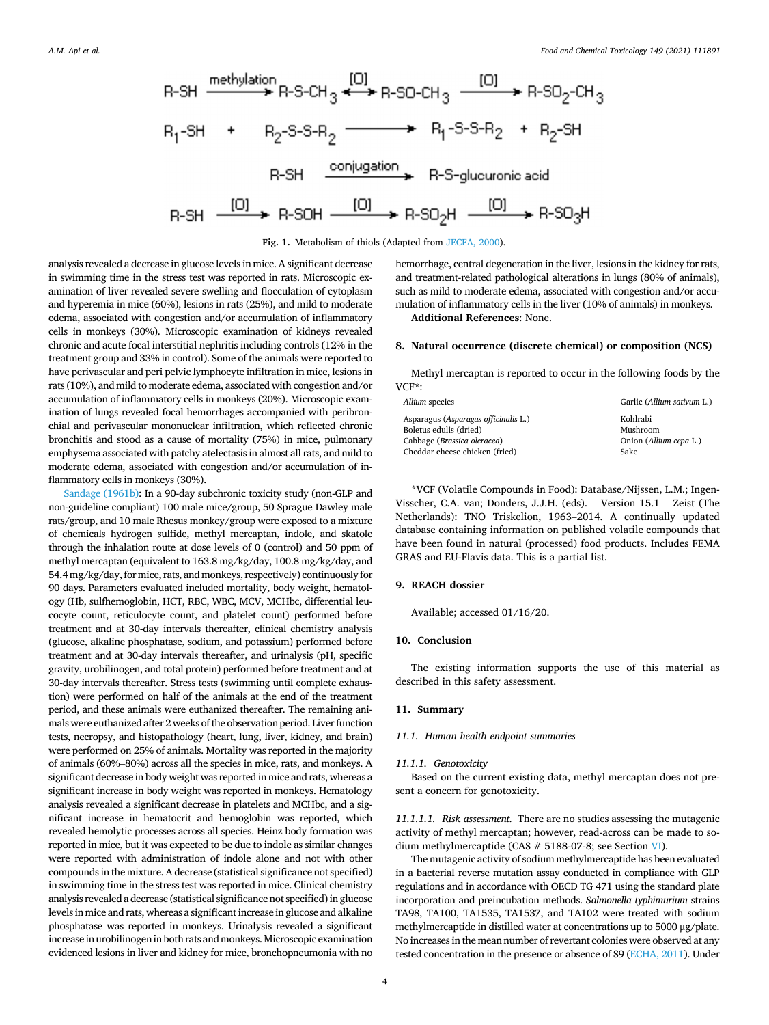<span id="page-3-0"></span>

## **Fig. 1.** Metabolism of thiols (Adapted from [JECFA, 2000](#page-9-0)).

analysis revealed a decrease in glucose levels in mice. A significant decrease in swimming time in the stress test was reported in rats. Microscopic examination of liver revealed severe swelling and flocculation of cytoplasm and hyperemia in mice (60%), lesions in rats (25%), and mild to moderate edema, associated with congestion and/or accumulation of inflammatory cells in monkeys (30%). Microscopic examination of kidneys revealed chronic and acute focal interstitial nephritis including controls (12% in the treatment group and 33% in control). Some of the animals were reported to have perivascular and peri pelvic lymphocyte infiltration in mice, lesions in rats (10%), and mild to moderate edema, associated with congestion and/or accumulation of inflammatory cells in monkeys (20%). Microscopic examination of lungs revealed focal hemorrhages accompanied with peribronchial and perivascular mononuclear infiltration, which reflected chronic bronchitis and stood as a cause of mortality (75%) in mice, pulmonary emphysema associated with patchy atelectasis in almost all rats, and mild to moderate edema, associated with congestion and/or accumulation of inflammatory cells in monkeys (30%).

[Sandage \(1961b\):](#page-9-0) In a 90-day subchronic toxicity study (non-GLP and non-guideline compliant) 100 male mice/group, 50 Sprague Dawley male rats/group, and 10 male Rhesus monkey/group were exposed to a mixture of chemicals hydrogen sulfide, methyl mercaptan, indole, and skatole through the inhalation route at dose levels of 0 (control) and 50 ppm of methyl mercaptan (equivalent to 163.8 mg/kg/day, 100.8 mg/kg/day, and 54.4 mg/kg/day, for mice, rats, and monkeys, respectively) continuously for 90 days. Parameters evaluated included mortality, body weight, hematology (Hb, sulfhemoglobin, HCT, RBC, WBC, MCV, MCHbc, differential leucocyte count, reticulocyte count, and platelet count) performed before treatment and at 30-day intervals thereafter, clinical chemistry analysis (glucose, alkaline phosphatase, sodium, and potassium) performed before treatment and at 30-day intervals thereafter, and urinalysis (pH, specific gravity, urobilinogen, and total protein) performed before treatment and at 30-day intervals thereafter. Stress tests (swimming until complete exhaustion) were performed on half of the animals at the end of the treatment period, and these animals were euthanized thereafter. The remaining animals were euthanized after 2 weeks of the observation period. Liver function tests, necropsy, and histopathology (heart, lung, liver, kidney, and brain) were performed on 25% of animals. Mortality was reported in the majority of animals (60%–80%) across all the species in mice, rats, and monkeys. A significant decrease in body weight was reported in mice and rats, whereas a significant increase in body weight was reported in monkeys. Hematology analysis revealed a significant decrease in platelets and MCHbc, and a significant increase in hematocrit and hemoglobin was reported, which revealed hemolytic processes across all species. Heinz body formation was reported in mice, but it was expected to be due to indole as similar changes were reported with administration of indole alone and not with other compounds in the mixture. A decrease (statistical significance not specified) in swimming time in the stress test was reported in mice. Clinical chemistry analysis revealed a decrease (statistical significance not specified) in glucose levels in mice and rats, whereas a significant increase in glucose and alkaline phosphatase was reported in monkeys. Urinalysis revealed a significant increase in urobilinogen in both rats and monkeys. Microscopic examination evidenced lesions in liver and kidney for mice, bronchopneumonia with no

hemorrhage, central degeneration in the liver, lesions in the kidney for rats, and treatment-related pathological alterations in lungs (80% of animals), such as mild to moderate edema, associated with congestion and/or accumulation of inflammatory cells in the liver (10% of animals) in monkeys.

**Additional References**: None.

# **8. Natural occurrence (discrete chemical) or composition (NCS)**

Methyl mercaptan is reported to occur in the following foods by the VCF\*:

| Allium species                       | Garlic (Allium sativum L.) |
|--------------------------------------|----------------------------|
| Asparagus (Asparagus officinalis L.) | Kohlrabi                   |
| Boletus edulis (dried)               | Mushroom                   |
| Cabbage (Brassica oleracea)          | Onion (Allium cepa L.)     |
| Cheddar cheese chicken (fried)       | Sake                       |
|                                      |                            |

\*VCF (Volatile Compounds in Food): Database/Nijssen, L.M.; Ingen-Visscher, C.A. van; Donders, J.J.H. (eds). – Version 15.1 – Zeist (The Netherlands): TNO Triskelion, 1963–2014. A continually updated database containing information on published volatile compounds that have been found in natural (processed) food products. Includes FEMA GRAS and EU-Flavis data. This is a partial list.

# **9. REACH dossier**

Available; accessed 01/16/20.

#### **10. Conclusion**

The existing information supports the use of this material as described in this safety assessment.

# **11. Summary**

#### *11.1. Human health endpoint summaries*

#### *11.1.1. Genotoxicity*

Based on the current existing data, methyl mercaptan does not present a concern for genotoxicity.

*11.1.1.1. Risk assessment.* There are no studies assessing the mutagenic activity of methyl mercaptan; however, read-across can be made to sodium methylmercaptide (CAS # 5188-07-8; see Section [VI\)](#page-2-0).

The mutagenic activity of sodium methylmercaptide has been evaluated in a bacterial reverse mutation assay conducted in compliance with GLP regulations and in accordance with OECD TG 471 using the standard plate incorporation and preincubation methods. *Salmonella typhimurium* strains TA98, TA100, TA1535, TA1537, and TA102 were treated with sodium methylmercaptide in distilled water at concentrations up to 5000 μg/plate. No increases in the mean number of revertant colonies were observed at any tested concentration in the presence or absence of S9 [\(ECHA, 2011\)](#page-9-0). Under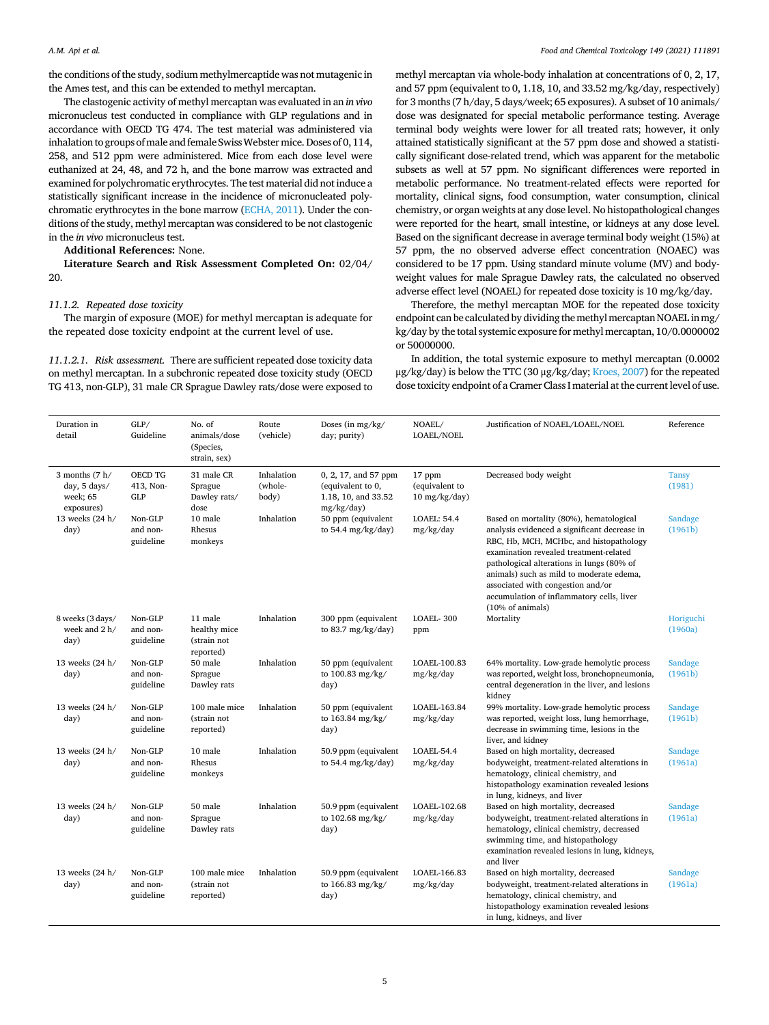the conditions of the study, sodium methylmercaptide was not mutagenic in the Ames test, and this can be extended to methyl mercaptan.

The clastogenic activity of methyl mercaptan was evaluated in an *in vivo*  micronucleus test conducted in compliance with GLP regulations and in accordance with OECD TG 474. The test material was administered via inhalation to groups of male and female Swiss Webster mice. Doses of 0, 114, 258, and 512 ppm were administered. Mice from each dose level were euthanized at 24, 48, and 72 h, and the bone marrow was extracted and examined for polychromatic erythrocytes. The test material did not induce a statistically significant increase in the incidence of micronucleated polychromatic erythrocytes in the bone marrow [\(ECHA, 2011](#page-9-0)). Under the conditions of the study, methyl mercaptan was considered to be not clastogenic in the *in vivo* micronucleus test.

**Additional References:** None.

**Literature Search and Risk Assessment Completed On:** 02/04/ 20.

# *11.1.2. Repeated dose toxicity*

The margin of exposure (MOE) for methyl mercaptan is adequate for the repeated dose toxicity endpoint at the current level of use.

*11.1.2.1. Risk assessment.* There are sufficient repeated dose toxicity data on methyl mercaptan. In a subchronic repeated dose toxicity study (OECD TG 413, non-GLP), 31 male CR Sprague Dawley rats/dose were exposed to methyl mercaptan via whole-body inhalation at concentrations of 0, 2, 17, and 57 ppm (equivalent to 0, 1.18, 10, and 33.52 mg/kg/day, respectively) for 3 months (7 h/day, 5 days/week; 65 exposures). A subset of 10 animals/ dose was designated for special metabolic performance testing. Average terminal body weights were lower for all treated rats; however, it only attained statistically significant at the 57 ppm dose and showed a statistically significant dose-related trend, which was apparent for the metabolic subsets as well at 57 ppm. No significant differences were reported in metabolic performance. No treatment-related effects were reported for mortality, clinical signs, food consumption, water consumption, clinical chemistry, or organ weights at any dose level. No histopathological changes were reported for the heart, small intestine, or kidneys at any dose level. Based on the significant decrease in average terminal body weight (15%) at 57 ppm, the no observed adverse effect concentration (NOAEC) was considered to be 17 ppm. Using standard minute volume (MV) and bodyweight values for male Sprague Dawley rats, the calculated no observed adverse effect level (NOAEL) for repeated dose toxicity is 10 mg/kg/day.

Therefore, the methyl mercaptan MOE for the repeated dose toxicity endpoint can be calculated by dividing the methyl mercaptan NOAEL in mg/ kg/day by the total systemic exposure for methyl mercaptan, 10/0.0000002 or 50000000.

In addition, the total systemic exposure to methyl mercaptan (0.0002 μg/kg/day) is below the TTC (30 μg/kg/day; [Kroes, 2007](#page-9-0)) for the repeated dose toxicity endpoint of a Cramer Class I material at the current level of use.

| Duration in<br>detail                                               | GLP/<br>Guideline                  | No. of<br>animals/dose<br>(Species,<br>strain, sex) | Route<br>(vehicle)             | Doses (in mg/kg/<br>day; purity)                                               | NOAEL/<br>LOAEL/NOEL                      | Justification of NOAEL/LOAEL/NOEL                                                                                                                                                                                                                                                                                                                                           | Reference              |
|---------------------------------------------------------------------|------------------------------------|-----------------------------------------------------|--------------------------------|--------------------------------------------------------------------------------|-------------------------------------------|-----------------------------------------------------------------------------------------------------------------------------------------------------------------------------------------------------------------------------------------------------------------------------------------------------------------------------------------------------------------------------|------------------------|
| 3 months $(7 h/$<br>day, $5 \text{ days}$<br>week; 65<br>exposures) | OECD TG<br>413, Non-<br><b>GLP</b> | 31 male CR<br>Sprague<br>Dawley rats/<br>dose       | Inhalation<br>(whole-<br>body) | 0, 2, 17, and 57 ppm<br>(equivalent to 0,<br>1.18, 10, and 33.52<br>mg/kg/day) | 17 ppm<br>(equivalent to<br>10 mg/kg/day) | Decreased body weight                                                                                                                                                                                                                                                                                                                                                       | <b>Tansy</b><br>(1981) |
| 13 weeks (24 h/<br>day)                                             | Non-GLP<br>and non-<br>guideline   | 10 male<br>Rhesus<br>monkeys                        | Inhalation                     | 50 ppm (equivalent<br>to 54.4 $mg/kg/day$ )                                    | LOAEL: 54.4<br>mg/kg/day                  | Based on mortality (80%), hematological<br>analysis evidenced a significant decrease in<br>RBC, Hb, MCH, MCHbc, and histopathology<br>examination revealed treatment-related<br>pathological alterations in lungs (80% of<br>animals) such as mild to moderate edema,<br>associated with congestion and/or<br>accumulation of inflammatory cells, liver<br>(10% of animals) | Sandage<br>(1961b)     |
| 8 weeks (3 days/<br>week and 2 h/<br>day)                           | Non-GLP<br>and non-<br>guideline   | 11 male<br>healthy mice<br>(strain not<br>reported) | Inhalation                     | 300 ppm (equivalent<br>to 83.7 $mg/kg/day$ )                                   | LOAEL-300<br>ppm                          | Mortality                                                                                                                                                                                                                                                                                                                                                                   | Horiguchi<br>(1960a)   |
| 13 weeks (24 h/<br>day)                                             | Non-GLP<br>and non-<br>guideline   | 50 male<br>Sprague<br>Dawley rats                   | Inhalation                     | 50 ppm (equivalent<br>to 100.83 mg/kg/<br>day)                                 | LOAEL-100.83<br>mg/kg/day                 | 64% mortality. Low-grade hemolytic process<br>was reported, weight loss, bronchopneumonia,<br>central degeneration in the liver, and lesions<br>kidney                                                                                                                                                                                                                      | Sandage<br>(1961b)     |
| 13 weeks (24 h/<br>day)                                             | Non-GLP<br>and non-<br>guideline   | 100 male mice<br>(strain not<br>reported)           | Inhalation                     | 50 ppm (equivalent<br>to 163.84 mg/kg/<br>day)                                 | LOAEL-163.84<br>mg/kg/day                 | 99% mortality. Low-grade hemolytic process<br>was reported, weight loss, lung hemorrhage,<br>decrease in swimming time, lesions in the<br>liver, and kidney                                                                                                                                                                                                                 | Sandage<br>(1961b)     |
| 13 weeks (24 h/<br>day)                                             | Non-GLP<br>and non-<br>guideline   | 10 male<br>Rhesus<br>monkeys                        | Inhalation                     | 50.9 ppm (equivalent<br>to 54.4 mg/kg/day)                                     | LOAEL-54.4<br>mg/kg/day                   | Based on high mortality, decreased<br>bodyweight, treatment-related alterations in<br>hematology, clinical chemistry, and<br>histopathology examination revealed lesions<br>in lung, kidneys, and liver                                                                                                                                                                     | Sandage<br>(1961a)     |
| 13 weeks (24 h/<br>day)                                             | Non-GLP<br>and non-<br>guideline   | 50 male<br>Sprague<br>Dawley rats                   | Inhalation                     | 50.9 ppm (equivalent<br>to 102.68 mg/kg/<br>day)                               | LOAEL-102.68<br>mg/kg/day                 | Based on high mortality, decreased<br>bodyweight, treatment-related alterations in<br>hematology, clinical chemistry, decreased<br>swimming time, and histopathology<br>examination revealed lesions in lung, kidneys,<br>and liver                                                                                                                                         | Sandage<br>(1961a)     |
| 13 weeks (24 h/<br>day)                                             | Non-GLP<br>and non-<br>guideline   | 100 male mice<br>(strain not<br>reported)           | Inhalation                     | 50.9 ppm (equivalent<br>to 166.83 mg/kg/<br>day)                               | LOAEL-166.83<br>mg/kg/day                 | Based on high mortality, decreased<br>bodyweight, treatment-related alterations in<br>hematology, clinical chemistry, and<br>histopathology examination revealed lesions<br>in lung, kidneys, and liver                                                                                                                                                                     | Sandage<br>(1961a)     |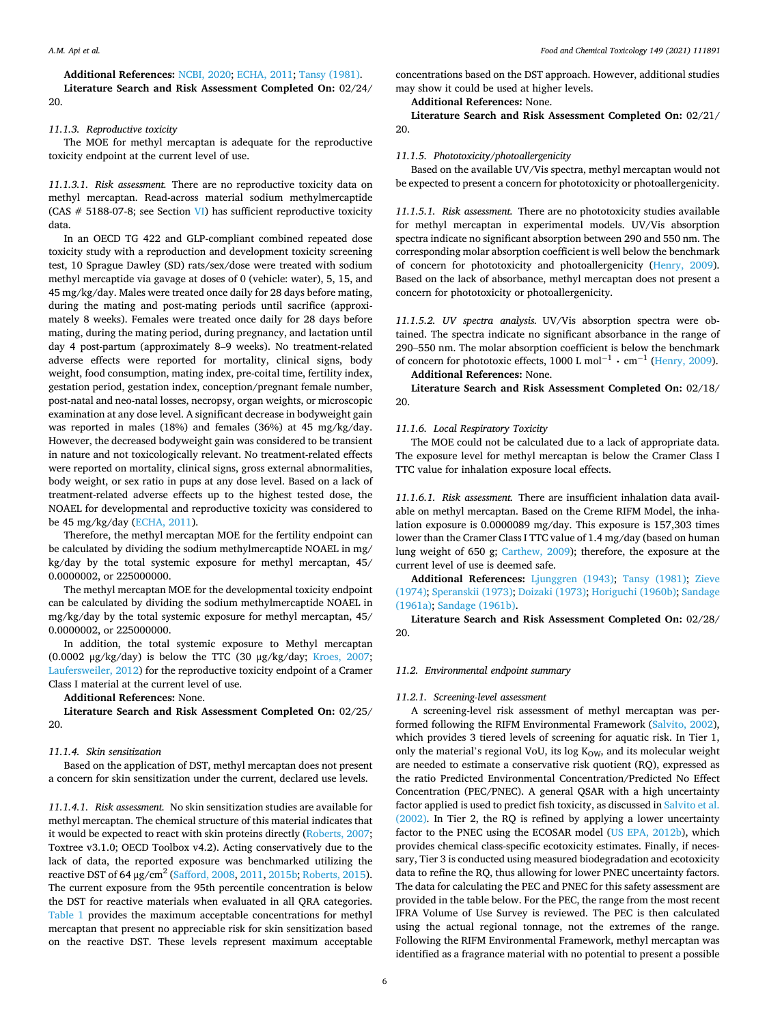20.

**Additional References:** [NCBI, 2020](#page-9-0); [ECHA, 2011](#page-9-0); [Tansy \(1981\).](#page-9-0) **Literature Search and Risk Assessment Completed On:** 02/24/

# *11.1.3. Reproductive toxicity*

The MOE for methyl mercaptan is adequate for the reproductive toxicity endpoint at the current level of use.

*11.1.3.1. Risk assessment.* There are no reproductive toxicity data on methyl mercaptan. Read-across material sodium methylmercaptide (CAS  $#$  5188-07-8; see Section [VI\)](#page-2-0) has sufficient reproductive toxicity data.

In an OECD TG 422 and GLP-compliant combined repeated dose toxicity study with a reproduction and development toxicity screening test, 10 Sprague Dawley (SD) rats/sex/dose were treated with sodium methyl mercaptide via gavage at doses of 0 (vehicle: water), 5, 15, and 45 mg/kg/day. Males were treated once daily for 28 days before mating, during the mating and post-mating periods until sacrifice (approximately 8 weeks). Females were treated once daily for 28 days before mating, during the mating period, during pregnancy, and lactation until day 4 post-partum (approximately 8–9 weeks). No treatment-related adverse effects were reported for mortality, clinical signs, body weight, food consumption, mating index, pre-coital time, fertility index, gestation period, gestation index, conception/pregnant female number, post-natal and neo-natal losses, necropsy, organ weights, or microscopic examination at any dose level. A significant decrease in bodyweight gain was reported in males (18%) and females (36%) at 45 mg/kg/day. However, the decreased bodyweight gain was considered to be transient in nature and not toxicologically relevant. No treatment-related effects were reported on mortality, clinical signs, gross external abnormalities, body weight, or sex ratio in pups at any dose level. Based on a lack of treatment-related adverse effects up to the highest tested dose, the NOAEL for developmental and reproductive toxicity was considered to be 45 mg/kg/day [\(ECHA, 2011\)](#page-9-0).

Therefore, the methyl mercaptan MOE for the fertility endpoint can be calculated by dividing the sodium methylmercaptide NOAEL in mg/ kg/day by the total systemic exposure for methyl mercaptan, 45/ 0.0000002, or 225000000.

The methyl mercaptan MOE for the developmental toxicity endpoint can be calculated by dividing the sodium methylmercaptide NOAEL in mg/kg/day by the total systemic exposure for methyl mercaptan, 45/ 0.0000002, or 225000000.

In addition, the total systemic exposure to Methyl mercaptan (0.0002 μg/kg/day) is below the TTC (30 μg/kg/day; [Kroes, 2007](#page-9-0); [Laufersweiler, 2012](#page-9-0)) for the reproductive toxicity endpoint of a Cramer Class I material at the current level of use.

**Additional References:** None.

**Literature Search and Risk Assessment Completed On:** 02/25/ 20.

# *11.1.4. Skin sensitization*

Based on the application of DST, methyl mercaptan does not present a concern for skin sensitization under the current, declared use levels.

*11.1.4.1. Risk assessment.* No skin sensitization studies are available for methyl mercaptan. The chemical structure of this material indicates that it would be expected to react with skin proteins directly [\(Roberts, 2007](#page-9-0); Toxtree v3.1.0; OECD Toolbox v4.2). Acting conservatively due to the lack of data, the reported exposure was benchmarked utilizing the reactive DST of  $64 \mu$ g/cm<sup>2</sup> ([Safford, 2008, 2011](#page-9-0), [2015b](#page-9-0); [Roberts, 2015](#page-9-0)). The current exposure from the 95th percentile concentration is below the DST for reactive materials when evaluated in all QRA categories. [Table 1](#page-6-0) provides the maximum acceptable concentrations for methyl mercaptan that present no appreciable risk for skin sensitization based on the reactive DST. These levels represent maximum acceptable

concentrations based on the DST approach. However, additional studies may show it could be used at higher levels.

**Additional References:** None.

**Literature Search and Risk Assessment Completed On:** 02/21/ 20.

#### *11.1.5. Phototoxicity/photoallergenicity*

Based on the available UV/Vis spectra, methyl mercaptan would not be expected to present a concern for phototoxicity or photoallergenicity.

*11.1.5.1. Risk assessment.* There are no phototoxicity studies available for methyl mercaptan in experimental models. UV/Vis absorption spectra indicate no significant absorption between 290 and 550 nm. The corresponding molar absorption coefficient is well below the benchmark of concern for phototoxicity and photoallergenicity [\(Henry, 2009](#page-9-0)). Based on the lack of absorbance, methyl mercaptan does not present a concern for phototoxicity or photoallergenicity.

*11.1.5.2. UV spectra analysis.* UV/Vis absorption spectra were obtained. The spectra indicate no significant absorbance in the range of 290–550 nm. The molar absorption coefficient is below the benchmark of concern for phototoxic effects, 1000 L mol<sup>-1</sup>  $\cdot$  cm<sup>-1</sup> [\(Henry, 2009\)](#page-9-0).

# **Additional References:** None.

**Literature Search and Risk Assessment Completed On:** 02/18/ 20.

#### *11.1.6. Local Respiratory Toxicity*

The MOE could not be calculated due to a lack of appropriate data. The exposure level for methyl mercaptan is below the Cramer Class I TTC value for inhalation exposure local effects.

*11.1.6.1. Risk assessment.* There are insufficient inhalation data available on methyl mercaptan. Based on the Creme RIFM Model, the inhalation exposure is 0.0000089 mg/day. This exposure is 157,303 times lower than the Cramer Class I TTC value of 1.4 mg/day (based on human lung weight of 650 g; [Carthew, 2009\)](#page-8-0); therefore, the exposure at the current level of use is deemed safe.

**Additional References:** [Ljunggren \(1943\);](#page-9-0) [Tansy \(1981\);](#page-9-0) [Zieve](#page-9-0)  [\(1974\); Speranskii \(1973\)](#page-9-0); [Doizaki \(1973\)](#page-9-0); [Horiguchi \(1960b\)](#page-9-0); [Sandage](#page-9-0)  [\(1961a\); Sandage \(1961b\)](#page-9-0).

**Literature Search and Risk Assessment Completed On:** 02/28/ 20.

# *11.2. Environmental endpoint summary*

## *11.2.1. Screening-level assessment*

A screening-level risk assessment of methyl mercaptan was performed following the RIFM Environmental Framework ([Salvito, 2002](#page-9-0)), which provides 3 tiered levels of screening for aquatic risk. In Tier 1, only the material's regional VoU, its log  $K_{OW}$ , and its molecular weight are needed to estimate a conservative risk quotient (RQ), expressed as the ratio Predicted Environmental Concentration/Predicted No Effect Concentration (PEC/PNEC). A general QSAR with a high uncertainty factor applied is used to predict fish toxicity, as discussed in [Salvito et al.](#page-9-0)  [\(2002\).](#page-9-0) In Tier 2, the RQ is refined by applying a lower uncertainty factor to the PNEC using the ECOSAR model [\(US EPA, 2012b](#page-9-0)), which provides chemical class-specific ecotoxicity estimates. Finally, if necessary, Tier 3 is conducted using measured biodegradation and ecotoxicity data to refine the RQ, thus allowing for lower PNEC uncertainty factors. The data for calculating the PEC and PNEC for this safety assessment are provided in the table below. For the PEC, the range from the most recent IFRA Volume of Use Survey is reviewed. The PEC is then calculated using the actual regional tonnage, not the extremes of the range. Following the RIFM Environmental Framework, methyl mercaptan was identified as a fragrance material with no potential to present a possible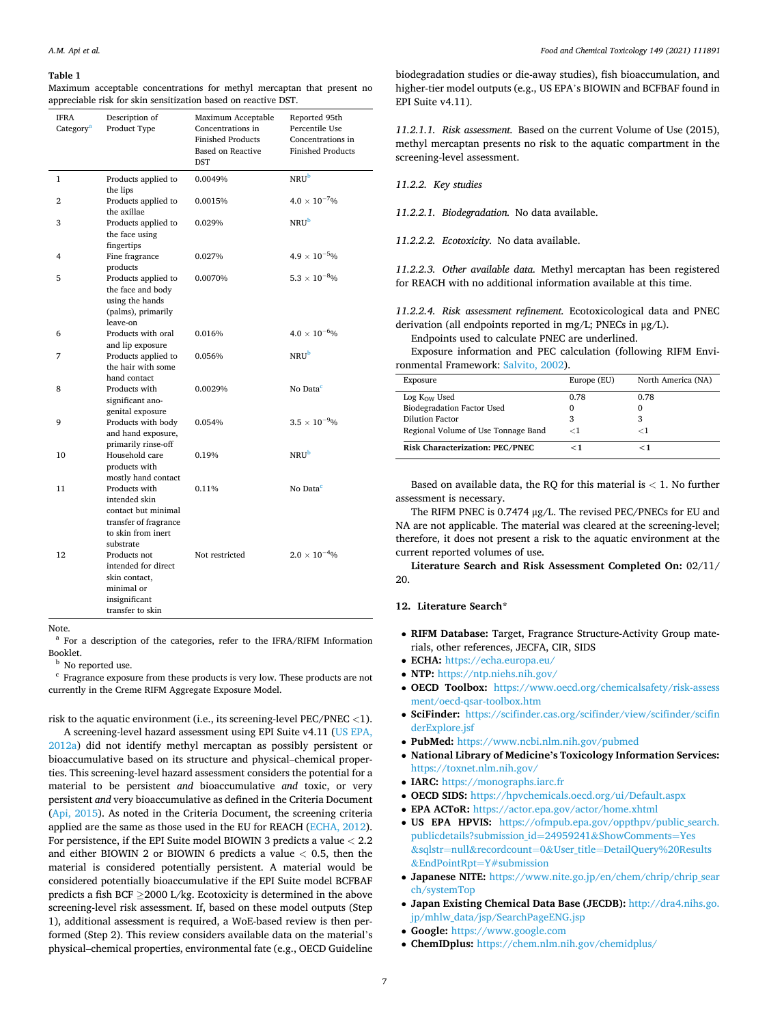#### <span id="page-6-0"></span>**Table 1**

Maximum acceptable concentrations for methyl mercaptan that present no appreciable risk for skin sensitization based on reactive DST.

| IFRA<br>Category <sup>a</sup> | Description of<br>Product Type                                                                                    | Maximum Acceptable<br>Concentrations in<br><b>Finished Products</b><br><b>Based on Reactive</b><br><b>DST</b> | Reported 95th<br>Percentile Use<br>Concentrations in<br><b>Finished Products</b> |
|-------------------------------|-------------------------------------------------------------------------------------------------------------------|---------------------------------------------------------------------------------------------------------------|----------------------------------------------------------------------------------|
| 1                             | Products applied to<br>the lips                                                                                   | 0.0049%                                                                                                       | <b>NRU</b> b                                                                     |
| $\overline{2}$                | Products applied to<br>the axillae                                                                                | 0.0015%                                                                                                       | $4.0 \times 10^{-7}$ %                                                           |
| 3                             | Products applied to<br>the face using<br>fingertips                                                               | 0.029%                                                                                                        | $NRU^b$                                                                          |
| 4                             | Fine fragrance<br>products                                                                                        | 0.027%                                                                                                        | $4.9\times10^{-5}$ %                                                             |
| 5                             | Products applied to<br>the face and body<br>using the hands<br>(palms), primarily<br>leave-on                     | 0.0070%                                                                                                       | $5.3 \times 10^{-8}$ %                                                           |
| 6                             | Products with oral<br>and lip exposure                                                                            | 0.016%                                                                                                        | $4.0\times10^{-6}\%$                                                             |
| 7                             | Products applied to<br>the hair with some<br>hand contact                                                         | 0.056%                                                                                                        | NRUb                                                                             |
| 8                             | Products with<br>significant ano-<br>genital exposure                                                             | 0.0029%                                                                                                       | No Data <sup>c</sup>                                                             |
| 9                             | Products with body<br>and hand exposure,<br>primarily rinse-off                                                   | 0.054%                                                                                                        | $3.5 \times 10^{-9}$ %                                                           |
| 10                            | Household care<br>products with<br>mostly hand contact                                                            | 0.19%                                                                                                         | NRU <sup>b</sup>                                                                 |
| 11                            | Products with<br>intended skin<br>contact but minimal<br>transfer of fragrance<br>to skin from inert<br>substrate | 0.11%                                                                                                         | No Data <sup>c</sup>                                                             |
| 12                            | Products not<br>intended for direct<br>skin contact.<br>minimal or<br>insignificant<br>transfer to skin           | Not restricted                                                                                                | $2.0\times10^{-4}\%$                                                             |

Note.

<sup>a</sup> For a description of the categories, refer to the IFRA/RIFM Information Booklet.

 $^{\rm b}$  No reported use. c  $^{\rm c}$  Fragrance exposure from these products is very low. These products are not currently in the Creme RIFM Aggregate Exposure Model.

risk to the aquatic environment (i.e., its screening-level PEC/PNEC *<*1).

A screening-level hazard assessment using EPI Suite v4.11 ([US EPA,](#page-9-0)  [2012a\)](#page-9-0) did not identify methyl mercaptan as possibly persistent or bioaccumulative based on its structure and physical–chemical properties. This screening-level hazard assessment considers the potential for a material to be persistent *and* bioaccumulative *and* toxic, or very persistent *and* very bioaccumulative as defined in the Criteria Document ([Api, 2015\)](#page-8-0). As noted in the Criteria Document, the screening criteria applied are the same as those used in the EU for REACH [\(ECHA, 2012](#page-9-0)). For persistence, if the EPI Suite model BIOWIN 3 predicts a value *<* 2.2 and either BIOWIN 2 or BIOWIN 6 predicts a value *<* 0.5, then the material is considered potentially persistent. A material would be considered potentially bioaccumulative if the EPI Suite model BCFBAF predicts a fish BCF ≥2000 L/kg. Ecotoxicity is determined in the above screening-level risk assessment. If, based on these model outputs (Step 1), additional assessment is required, a WoE-based review is then performed (Step 2). This review considers available data on the material's physical–chemical properties, environmental fate (e.g., OECD Guideline

biodegradation studies or die-away studies), fish bioaccumulation, and higher-tier model outputs (e.g., US EPA's BIOWIN and BCFBAF found in EPI Suite v4.11).

*11.2.1.1. Risk assessment.* Based on the current Volume of Use (2015), methyl mercaptan presents no risk to the aquatic compartment in the screening-level assessment.

*11.2.2. Key studies* 

*11.2.2.1. Biodegradation.* No data available.

*11.2.2.2. Ecotoxicity.* No data available.

*11.2.2.3. Other available data.* Methyl mercaptan has been registered for REACH with no additional information available at this time.

*11.2.2.4. Risk assessment refinement.* Ecotoxicological data and PNEC derivation (all endpoints reported in mg/L; PNECs in μg/L). Endpoints used to calculate PNEC are underlined.

Exposure information and PEC calculation (following RIFM Environmental Framework: [Salvito, 2002\)](#page-9-0).

| Exposure                            | Europe (EU) | North America (NA) |
|-------------------------------------|-------------|--------------------|
| Log K <sub>OW</sub> Used            | 0.78        | 0.78               |
| <b>Biodegradation Factor Used</b>   | $\Omega$    | O                  |
| Dilution Factor                     | 3           | 3                  |
| Regional Volume of Use Tonnage Band | $<$ 1       | -1                 |
| Risk Characterization: PEC/PNEC     | $<$ 1       | - 1                |

Based on available data, the RQ for this material is *<* 1. No further assessment is necessary.

The RIFM PNEC is 0.7474 μg/L. The revised PEC/PNECs for EU and NA are not applicable. The material was cleared at the screening-level; therefore, it does not present a risk to the aquatic environment at the current reported volumes of use.

**Literature Search and Risk Assessment Completed On:** 02/11/ 20.

# **12. Literature Search\***

- **RIFM Database:** Target, Fragrance Structure-Activity Group materials, other references, JECFA, CIR, SIDS
- **ECHA:** <https://echa.europa.eu/>
- **NTP:** <https://ntp.niehs.nih.gov/>
- **OECD Toolbox:** [https://www.oecd.org/chemicalsafety/risk-assess](https://www.oecd.org/chemicalsafety/risk-assessment/oecd-qsar-toolbox.htm)  [ment/oecd-qsar-toolbox.htm](https://www.oecd.org/chemicalsafety/risk-assessment/oecd-qsar-toolbox.htm)
- **SciFinder:** [https://scifinder.cas.org/scifinder/view/scifinder/scifin](https://scifinder.cas.org/scifinder/view/scifinder/scifinderExplore.jsf)  [derExplore.jsf](https://scifinder.cas.org/scifinder/view/scifinder/scifinderExplore.jsf)
- **PubMed:** <https://www.ncbi.nlm.nih.gov/pubmed>
- **National Library of Medicine's Toxicology Information Services:**  <https://toxnet.nlm.nih.gov/>
- **IARC:** <https://monographs.iarc.fr>
- **OECD SIDS:** <https://hpvchemicals.oecd.org/ui/Default.aspx>
- **EPA ACToR:** <https://actor.epa.gov/actor/home.xhtml>
- **US EPA HPVIS:** [https://ofmpub.epa.gov/oppthpv/public\\_search.](https://ofmpub.epa.gov/oppthpv/public_search.publicdetails?submission_id=24959241&ShowComments=Yes&sqlstr=null&recordcount=0&User_title=DetailQuery%20Results&EndPointRpt=Y#submission)  [publicdetails?submission\\_id](https://ofmpub.epa.gov/oppthpv/public_search.publicdetails?submission_id=24959241&ShowComments=Yes&sqlstr=null&recordcount=0&User_title=DetailQuery%20Results&EndPointRpt=Y#submission)=24959241&ShowComments=Yes &sqlstr=null&recordcount=0&User\_title=[DetailQuery%20Results](https://ofmpub.epa.gov/oppthpv/public_search.publicdetails?submission_id=24959241&ShowComments=Yes&sqlstr=null&recordcount=0&User_title=DetailQuery%20Results&EndPointRpt=Y#submission) &EndPointRpt=[Y#submission](https://ofmpub.epa.gov/oppthpv/public_search.publicdetails?submission_id=24959241&ShowComments=Yes&sqlstr=null&recordcount=0&User_title=DetailQuery%20Results&EndPointRpt=Y#submission)
- **Japanese NITE:** [https://www.nite.go.jp/en/chem/chrip/chrip\\_sear](https://www.nite.go.jp/en/chem/chrip/chrip_search/systemTop)  [ch/systemTop](https://www.nite.go.jp/en/chem/chrip/chrip_search/systemTop)
- **Japan Existing Chemical Data Base (JECDB):** [http://dra4.nihs.go.](http://dra4.nihs.go.jp/mhlw_data/jsp/SearchPageENG.jsp)  [jp/mhlw\\_data/jsp/SearchPageENG.jsp](http://dra4.nihs.go.jp/mhlw_data/jsp/SearchPageENG.jsp)
- **Google:** <https://www.google.com>
- **ChemIDplus:** <https://chem.nlm.nih.gov/chemidplus/>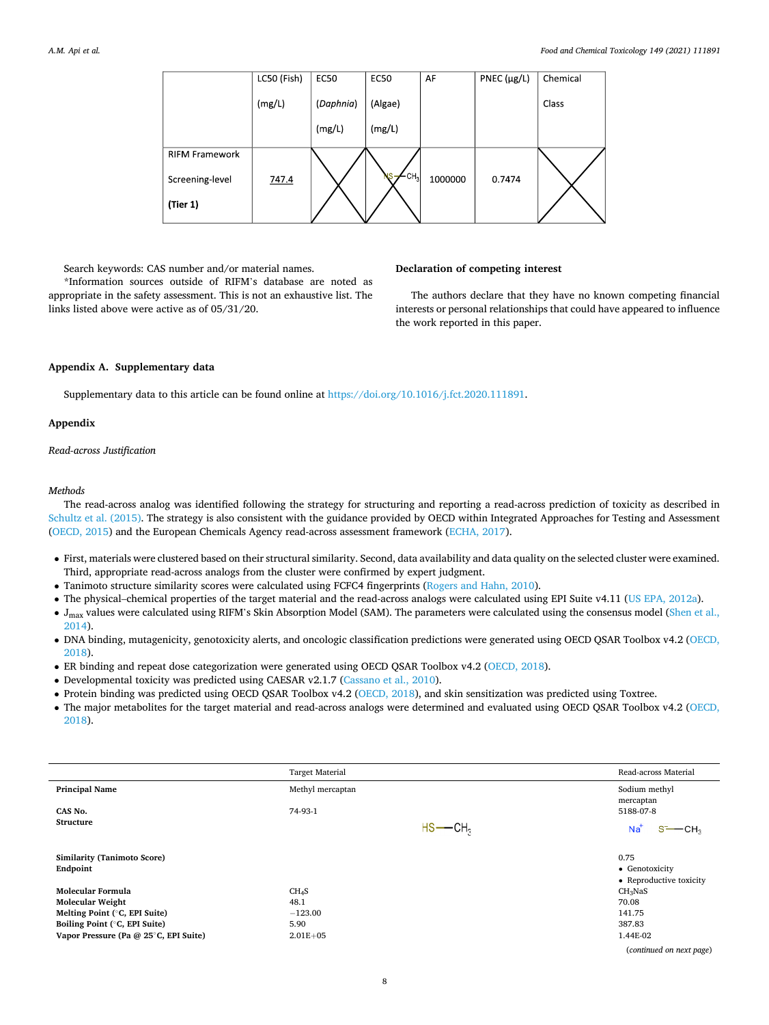|                       | LC50 (Fish) | <b>EC50</b> | <b>EC50</b>     | AF      | PNEC $(\mu g/L)$ | Chemical |
|-----------------------|-------------|-------------|-----------------|---------|------------------|----------|
|                       | (mg/L)      | (Daphnia)   | (Algae)         |         |                  | Class    |
|                       |             | (mg/L)      | (mg/L)          |         |                  |          |
| <b>RIFM Framework</b> |             |             |                 |         |                  |          |
| Screening-level       | 747.4       |             | CH <sub>3</sub> | 1000000 | 0.7474           |          |
| (Tier 1)              |             |             |                 |         |                  |          |
|                       |             |             |                 |         |                  |          |

# Search keywords: CAS number and/or material names.

\*Information sources outside of RIFM's database are noted as appropriate in the safety assessment. This is not an exhaustive list. The links listed above were active as of 05/31/20.

# **Declaration of competing interest**

The authors declare that they have no known competing financial interests or personal relationships that could have appeared to influence the work reported in this paper.

# **Appendix A. Supplementary data**

Supplementary data to this article can be found online at [https://doi.org/10.1016/j.fct.2020.111891.](https://doi.org/10.1016/j.fct.2020.111891)

# **Appendix**

*Read-across Justification* 

#### *Methods*

The read-across analog was identified following the strategy for structuring and reporting a read-across prediction of toxicity as described in [Schultz et al. \(2015\)](#page-9-0). The strategy is also consistent with the guidance provided by OECD within Integrated Approaches for Testing and Assessment ([OECD, 2015](#page-9-0)) and the European Chemicals Agency read-across assessment framework [\(ECHA, 2017\)](#page-9-0).

- First, materials were clustered based on their structural similarity. Second, data availability and data quality on the selected cluster were examined. Third, appropriate read-across analogs from the cluster were confirmed by expert judgment.
- Tanimoto structure similarity scores were calculated using FCFC4 fingerprints ([Rogers and Hahn, 2010](#page-9-0)).
- The physical–chemical properties of the target material and the read-across analogs were calculated using EPI Suite v4.11 ([US EPA, 2012a](#page-9-0)).
- J<sub>max</sub> values were calculated using RIFM's Skin Absorption Model (SAM). The parameters were calculated using the consensus model ([Shen et al.,](#page-9-0) [2014](#page-9-0)).
- DNA binding, mutagenicity, genotoxicity alerts, and oncologic classification predictions were generated using OECD QSAR Toolbox v4.2 [\(OECD,](#page-9-0) [2018](#page-9-0)).
- ER binding and repeat dose categorization were generated using OECD QSAR Toolbox v4.2 [\(OECD, 2018\)](#page-9-0).
- Developmental toxicity was predicted using CAESAR v2.1.7 [\(Cassano et al., 2010](#page-9-0)).
- Protein binding was predicted using OECD QSAR Toolbox v4.2 ([OECD, 2018](#page-9-0)), and skin sensitization was predicted using Toxtree.
- The major metabolites for the target material and read-across analogs were determined and evaluated using OECD QSAR Toolbox v4.2 [\(OECD,](#page-9-0) [2018](#page-9-0)).

|                                       | <b>Target Material</b> |                        | Read-across Material     |
|---------------------------------------|------------------------|------------------------|--------------------------|
| <b>Principal Name</b>                 | Methyl mercaptan       |                        | Sodium methyl            |
| CAS No.                               | 74-93-1                |                        | mercaptan<br>5188-07-8   |
| <b>Structure</b>                      |                        | $HS$ --CH <sub>3</sub> | $Na+$<br>CH <sub>2</sub> |
|                                       |                        |                        |                          |
| <b>Similarity (Tanimoto Score)</b>    |                        |                        | 0.75                     |
| Endpoint                              |                        |                        | • Genotoxicity           |
|                                       |                        |                        | • Reproductive toxicity  |
| Molecular Formula                     | CH <sub>4</sub> S      |                        | CH <sub>3</sub> NaS      |
| <b>Molecular Weight</b>               | 48.1                   |                        | 70.08                    |
| Melting Point (°C, EPI Suite)         | $-123.00$              |                        | 141.75                   |
| Boiling Point (°C, EPI Suite)         | 5.90                   |                        | 387.83                   |
| Vapor Pressure (Pa @ 25°C, EPI Suite) | $2.01E + 05$           |                        | 1.44E-02                 |
|                                       |                        |                        | (continued on next page) |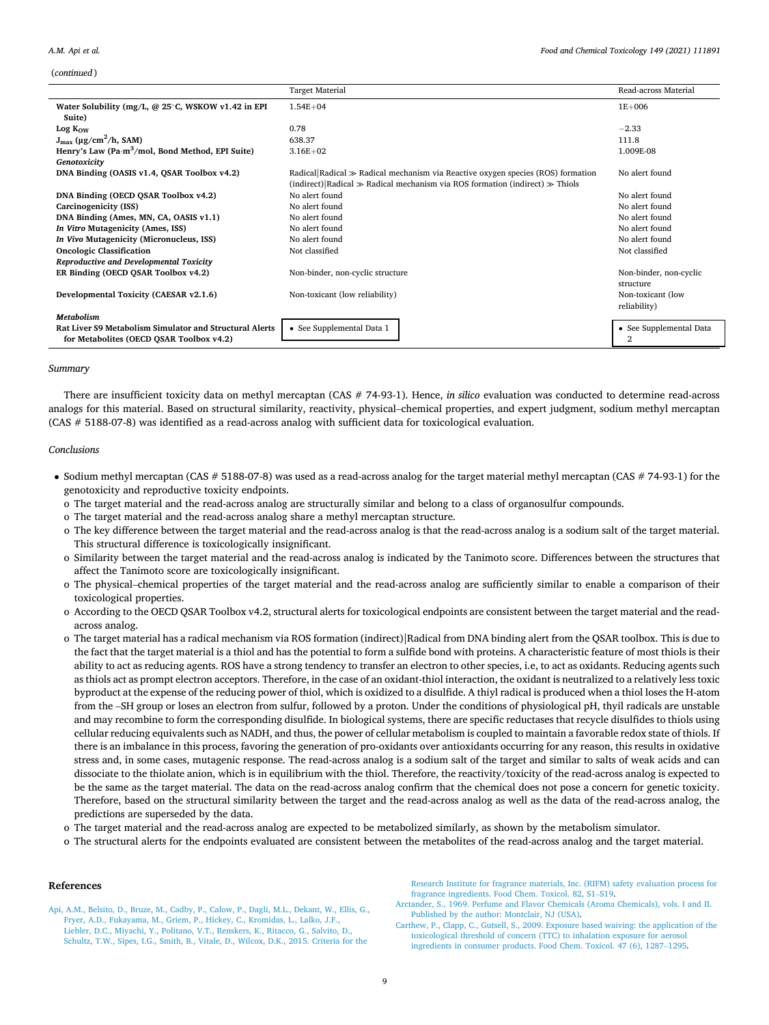#### <span id="page-8-0"></span>*A.M. Api et al.*

(*continued* )

|                                                                                                            | <b>Target Material</b>                                                                                                                                                      | Read-across Material                |
|------------------------------------------------------------------------------------------------------------|-----------------------------------------------------------------------------------------------------------------------------------------------------------------------------|-------------------------------------|
| Water Solubility (mg/L, $@$ 25 $°C$ , WSKOW v1.42 in EPI<br>Suite)                                         | $1.54E + 04$                                                                                                                                                                | $1E + 006$                          |
| Log K <sub>OW</sub>                                                                                        | 0.78                                                                                                                                                                        | $-2.33$                             |
| $J_{max}$ (µg/cm <sup>2</sup> /h, SAM)                                                                     | 638.37                                                                                                                                                                      | 111.8                               |
| Henry's Law (Pa·m <sup>3</sup> /mol, Bond Method, EPI Suite)                                               | $3.16E + 02$                                                                                                                                                                | 1.009E-08                           |
| Genotoxicity                                                                                               |                                                                                                                                                                             |                                     |
| DNA Binding (OASIS v1.4, QSAR Toolbox v4.2)                                                                | Radical Radical $\gg$ Radical mechanism via Reactive oxygen species (ROS) formation<br>(indirect) Radical $\gg$ Radical mechanism via ROS formation (indirect) $\gg$ Thiols | No alert found                      |
| DNA Binding (OECD QSAR Toolbox v4.2)                                                                       | No alert found                                                                                                                                                              | No alert found                      |
| Carcinogenicity (ISS)                                                                                      | No alert found                                                                                                                                                              | No alert found                      |
| DNA Binding (Ames, MN, CA, OASIS v1.1)                                                                     | No alert found                                                                                                                                                              | No alert found                      |
| In Vitro Mutagenicity (Ames, ISS)                                                                          | No alert found                                                                                                                                                              | No alert found                      |
| In Vivo Mutagenicity (Micronucleus, ISS)                                                                   | No alert found                                                                                                                                                              | No alert found                      |
| <b>Oncologic Classification</b>                                                                            | Not classified                                                                                                                                                              | Not classified                      |
| Reproductive and Developmental Toxicity                                                                    |                                                                                                                                                                             |                                     |
| ER Binding (OECD QSAR Toolbox v4.2)                                                                        | Non-binder, non-cyclic structure                                                                                                                                            | Non-binder, non-cyclic<br>structure |
| Developmental Toxicity (CAESAR v2.1.6)                                                                     | Non-toxicant (low reliability)                                                                                                                                              | Non-toxicant (low<br>reliability)   |
| <b>Metabolism</b>                                                                                          |                                                                                                                                                                             |                                     |
| <b>Rat Liver S9 Metabolism Simulator and Structural Alerts</b><br>for Metabolites (OECD OSAR Toolbox v4.2) | • See Supplemental Data 1                                                                                                                                                   | • See Supplemental Data<br>2        |

# *Summary*

There are insufficient toxicity data on methyl mercaptan (CAS # 74-93-1). Hence, *in silico* evaluation was conducted to determine read-across analogs for this material. Based on structural similarity, reactivity, physical–chemical properties, and expert judgment, sodium methyl mercaptan (CAS # 5188-07-8) was identified as a read-across analog with sufficient data for toxicological evaluation.

# *Conclusions*

- Sodium methyl mercaptan (CAS # 5188-07-8) was used as a read-across analog for the target material methyl mercaptan (CAS # 74-93-1) for the genotoxicity and reproductive toxicity endpoints.
	- o The target material and the read-across analog are structurally similar and belong to a class of organosulfur compounds.
	- o The target material and the read-across analog share a methyl mercaptan structure.
	- o The key difference between the target material and the read-across analog is that the read-across analog is a sodium salt of the target material. This structural difference is toxicologically insignificant.
	- o Similarity between the target material and the read-across analog is indicated by the Tanimoto score. Differences between the structures that affect the Tanimoto score are toxicologically insignificant.
	- o The physical–chemical properties of the target material and the read-across analog are sufficiently similar to enable a comparison of their toxicological properties.
	- o According to the OECD QSAR Toolbox v4.2, structural alerts for toxicological endpoints are consistent between the target material and the readacross analog.
	- o The target material has a radical mechanism via ROS formation (indirect)|Radical from DNA binding alert from the QSAR toolbox. This is due to the fact that the target material is a thiol and has the potential to form a sulfide bond with proteins. A characteristic feature of most thiols is their ability to act as reducing agents. ROS have a strong tendency to transfer an electron to other species, i.e, to act as oxidants. Reducing agents such as thiols act as prompt electron acceptors. Therefore, in the case of an oxidant-thiol interaction, the oxidant is neutralized to a relatively less toxic byproduct at the expense of the reducing power of thiol, which is oxidized to a disulfide. A thiyl radical is produced when a thiol loses the H-atom from the –SH group or loses an electron from sulfur, followed by a proton. Under the conditions of physiological pH, thyil radicals are unstable and may recombine to form the corresponding disulfide. In biological systems, there are specific reductases that recycle disulfides to thiols using cellular reducing equivalents such as NADH, and thus, the power of cellular metabolism is coupled to maintain a favorable redox state of thiols. If there is an imbalance in this process, favoring the generation of pro-oxidants over antioxidants occurring for any reason, this results in oxidative stress and, in some cases, mutagenic response. The read-across analog is a sodium salt of the target and similar to salts of weak acids and can dissociate to the thiolate anion, which is in equilibrium with the thiol. Therefore, the reactivity/toxicity of the read-across analog is expected to be the same as the target material. The data on the read-across analog confirm that the chemical does not pose a concern for genetic toxicity. Therefore, based on the structural similarity between the target and the read-across analog as well as the data of the read-across analog, the predictions are superseded by the data.
	- o The target material and the read-across analog are expected to be metabolized similarly, as shown by the metabolism simulator.
	- o The structural alerts for the endpoints evaluated are consistent between the metabolites of the read-across analog and the target material.

## **References**

[Api, A.M., Belsito, D., Bruze, M., Cadby, P., Calow, P., Dagli, M.L., Dekant, W., Ellis, G.,](http://refhub.elsevier.com/S0278-6915(20)30781-X/sref1)  [Fryer, A.D., Fukayama, M., Griem, P., Hickey, C., Kromidas, L., Lalko, J.F.,](http://refhub.elsevier.com/S0278-6915(20)30781-X/sref1)  [Liebler, D.C., Miyachi, Y., Politano, V.T., Renskers, K., Ritacco, G., Salvito, D.,](http://refhub.elsevier.com/S0278-6915(20)30781-X/sref1)  [Schultz, T.W., Sipes, I.G., Smith, B., Vitale, D., Wilcox, D.K., 2015. Criteria for the](http://refhub.elsevier.com/S0278-6915(20)30781-X/sref1) 

[Research Institute for fragrance materials, Inc. \(RIFM\) safety evaluation process for](http://refhub.elsevier.com/S0278-6915(20)30781-X/sref1)  [fragrance ingredients. Food Chem. Toxicol. 82, S1](http://refhub.elsevier.com/S0278-6915(20)30781-X/sref1)–S19.

[Arctander, S., 1969. Perfume and Flavor Chemicals \(Aroma Chemicals\), vols. I and II.](http://refhub.elsevier.com/S0278-6915(20)30781-X/sref2)  [Published by the author: Montclair, NJ \(USA\)](http://refhub.elsevier.com/S0278-6915(20)30781-X/sref2).

[Carthew, P., Clapp, C., Gutsell, S., 2009. Exposure based waiving: the application of the](http://refhub.elsevier.com/S0278-6915(20)30781-X/sref3)  [toxicological threshold of concern \(TTC\) to inhalation exposure for aerosol](http://refhub.elsevier.com/S0278-6915(20)30781-X/sref3) [ingredients in consumer products. Food Chem. Toxicol. 47 \(6\), 1287](http://refhub.elsevier.com/S0278-6915(20)30781-X/sref3)–1295.